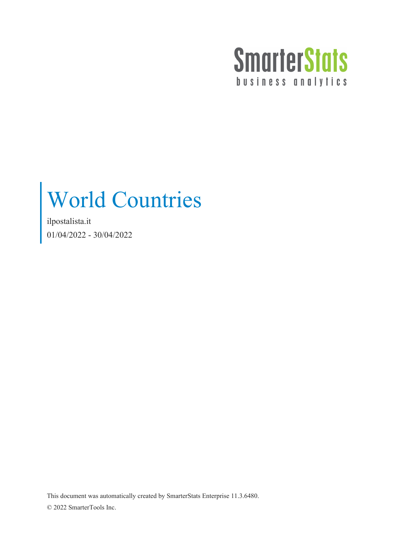

## World Countries

ilpostalista.it 01/04/2022 - 30/04/2022

This document was automatically created by SmarterStats Enterprise 11.3.6480. © 2022 SmarterTools Inc.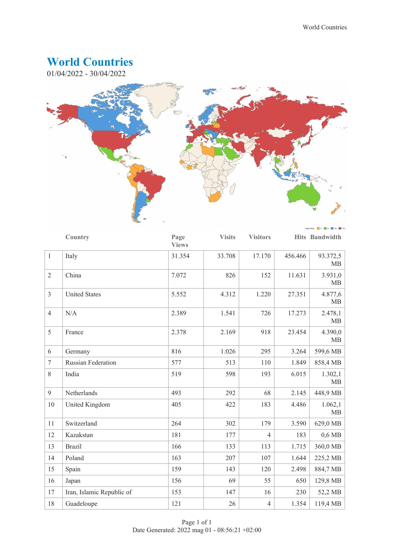## **World Countries**

01/04/2022 - 30/04/2022



|                | Country                   | Page<br><b>Views</b> | <b>Visits</b> | <b>Visitors</b> |         | Hits Bandwidth       |
|----------------|---------------------------|----------------------|---------------|-----------------|---------|----------------------|
| $\mathbf{1}$   | Italy                     | 31.354               | 33.708        | 17.170          | 456.466 | 93.372,5<br>MB       |
| $\overline{2}$ | China                     | 7.072                | 826           | 152             | 11.631  | 3.931,0<br>MB        |
| $\overline{3}$ | <b>United States</b>      | 5.552                | 4.312         | 1.220           | 27.351  | 4.877,6<br>MB        |
| $\overline{4}$ | N/A                       | 2.389                | 1.541         | 726             | 17.273  | 2.478,1<br>MB        |
| 5              | France                    | 2.378                | 2.169         | 918             | 23.454  | 4.390,0<br><b>MB</b> |
| 6              | Germany                   | 816                  | 1.026         | 295             | 3.264   | 599,6 MB             |
| $\overline{7}$ | <b>Russian Federation</b> | 577                  | 513           | 110             | 1.849   | 858,4 MB             |
| 8              | India                     | 519                  | 598           | 193             | 6.015   | 1.302,1<br><b>MB</b> |
| 9              | Netherlands               | 493                  | 292           | 68              | 2.145   | 448,9 MB             |
| 10             | United Kingdom            | 405                  | 422           | 183             | 4.486   | 1.062,1<br>MB        |
| 11             | Switzerland               | 264                  | 302           | 179             | 3.590   | 629,0 MB             |
| 12             | Kazakstan                 | 181                  | 177           | $\overline{4}$  | 183     | $0,6$ MB             |
| 13             | <b>Brazil</b>             | 166                  | 133           | 113             | 1.715   | 360,0 MB             |
| 14             | Poland                    | 163                  | 207           | 107             | 1.644   | 225,2 MB             |
| 15             | Spain                     | 159                  | 143           | 120             | 2.498   | 884,7 MB             |
| 16             | Japan                     | 156                  | 69            | 55              | 650     | 129,8 MB             |
| 17             | Iran, Islamic Republic of | 153                  | 147           | 16              | 230     | 52,2 MB              |
| 18             | Guadeloupe                | 121                  | 26            | $\overline{4}$  | 1.354   | 119,4 MB             |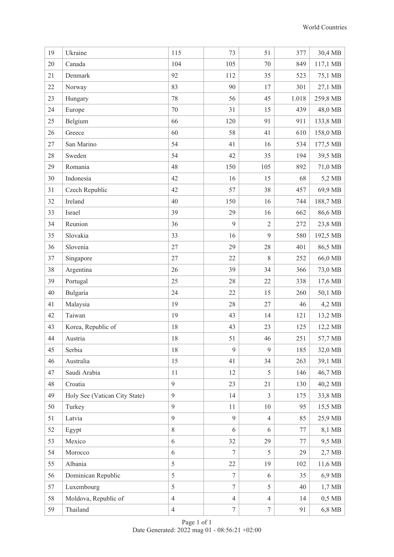| 19 | Ukraine                       | 115            | 73             | 51             | 377   | 30,4 MB  |
|----|-------------------------------|----------------|----------------|----------------|-------|----------|
| 20 | Canada                        | 104            | 105            | $70\,$         | 849   | 117,1 MB |
| 21 | Denmark                       | 92             | 112            | 35             | 523   | 75,1 MB  |
| 22 | Norway                        | 83             | 90             | 17             | 301   | 27,1 MB  |
| 23 | Hungary                       | 78             | 56             | 45             | 1.018 | 259,8 MB |
| 24 | Europe                        | 70             | 31             | 15             | 439   | 48,0 MB  |
| 25 | Belgium                       | 66             | 120            | 91             | 911   | 133,8 MB |
| 26 | Greece                        | 60             | 58             | 41             | 610   | 158,0 MB |
| 27 | San Marino                    | 54             | 41             | 16             | 534   | 177,5 MB |
| 28 | Sweden                        | 54             | 42             | 35             | 194   | 39,5 MB  |
| 29 | Romania                       | 48             | 150            | 105            | 892   | 71,0 MB  |
| 30 | Indonesia                     | 42             | 16             | 15             | 68    | 5,2 MB   |
| 31 | Czech Republic                | 42             | 57             | 38             | 457   | 69,9 MB  |
| 32 | Ireland                       | 40             | 150            | 16             | 744   | 188,7 MB |
| 33 | Israel                        | 39             | 29             | 16             | 662   | 86,6 MB  |
| 34 | Reunion                       | 36             | 9              | $\sqrt{2}$     | 272   | 23,8 MB  |
| 35 | Slovakia                      | 33             | 16             | 9              | 580   | 192,5 MB |
| 36 | Slovenia                      | 27             | 29             | $28\,$         | 401   | 86,5 MB  |
| 37 | Singapore                     | 27             | 22             | 8              | 252   | 66,0 MB  |
| 38 | Argentina                     | 26             | 39             | 34             | 366   | 73,0 MB  |
| 39 | Portugal                      | 25             | 28             | 22             | 338   | 17,6 MB  |
| 40 | Bulgaria                      | 24             | 22             | 15             | 260   | 50,1 MB  |
| 41 | Malaysia                      | 19             | 28             | 27             | 46    | 4,2 MB   |
| 42 | Taiwan                        | 19             | 43             | 14             | 121   | 13,2 MB  |
| 43 | Korea, Republic of            | 18             | 43             | 23             | 125   | 12,2 MB  |
| 44 | Austria                       | 18             | 51             | 46             | 251   | 57,7 MB  |
| 45 | Serbia                        | 18             | 9              | 9              | 185   | 32,0 MB  |
| 46 | Australia                     | 15             | 41             | 34             | 263   | 39,1 MB  |
| 47 | Saudi Arabia                  | 11             | 12             | 5              | 146   | 46,7 MB  |
| 48 | Croatia                       | 9              | 23             | 21             | 130   | 40,2 MB  |
| 49 | Holy See (Vatican City State) | 9              | 14             | $\overline{3}$ | 175   | 33,8 MB  |
| 50 | Turkey                        | 9              | 11             | 10             | 95    | 15,5 MB  |
| 51 | Latvia                        | 9              | 9              | $\overline{4}$ | 85    | 25,9 MB  |
| 52 | Egypt                         | $8\,$          | 6              | 6              | 77    | 8,1 MB   |
| 53 | Mexico                        | 6              | 32             | 29             | 77    | 9,5 MB   |
| 54 | Morocco                       | 6              | 7              | 5              | 29    | $2,7$ MB |
| 55 | Albania                       | 5              | 22             | 19             | 102   | 11,6 MB  |
| 56 | Dominican Republic            | 5              | $\tau$         | 6              | 35    | 6,9 MB   |
| 57 | Luxembourg                    | 5              | $\overline{7}$ | 5              | 40    | $1,7$ MB |
| 58 | Moldova, Republic of          | $\overline{4}$ | $\overline{4}$ | $\overline{4}$ | 14    | $0,5$ MB |
| 59 | Thailand                      | $\overline{4}$ | $\tau$         | $\tau$         | 91    | 6,8 MB   |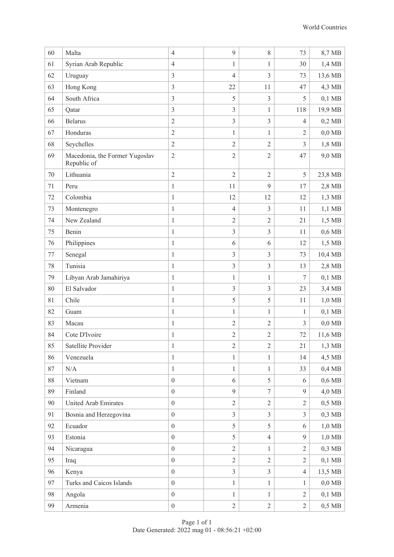| 60     | Malta                                         | $\overline{4}$   | 9              | $8\,$          | 73             | 8,7 MB   |
|--------|-----------------------------------------------|------------------|----------------|----------------|----------------|----------|
| 61     | Syrian Arab Republic                          | $\overline{4}$   | 1              | 1              | 30             | 1,4 MB   |
| 62     | Uruguay                                       | $\mathfrak{Z}$   | $\overline{4}$ | $\overline{3}$ | 73             | 13,6 MB  |
| 63     | Hong Kong                                     | $\overline{3}$   | 22             | 11             | 47             | 4,3 MB   |
| 64     | South Africa                                  | $\overline{3}$   | 5              | 3              | 5              | $0,1$ MB |
| 65     | Qatar                                         | $\mathfrak{Z}$   | $\overline{3}$ | $\mathbf{1}$   | 118            | 19,9 MB  |
| 66     | <b>Belarus</b>                                | $\sqrt{2}$       | $\overline{3}$ | $\mathfrak{Z}$ | $\overline{4}$ | $0,2$ MB |
| 67     | Honduras                                      | $\overline{2}$   | 1              | $\mathbf{1}$   | $\overline{2}$ | $0,0$ MB |
| 68     | Seychelles                                    | $\sqrt{2}$       | $\overline{2}$ | $\sqrt{2}$     | 3              | 1,8 MB   |
| 69     | Macedonia, the Former Yugoslav<br>Republic of | $\sqrt{2}$       | $\sqrt{2}$     | $\overline{2}$ | 47             | 9,0 MB   |
| $70\,$ | Lithuania                                     | $\overline{2}$   | $\overline{2}$ | $\overline{2}$ | 5              | 23,8 MB  |
| 71     | Peru                                          | $\mathbf{1}$     | 11             | 9              | 17             | 2,8 MB   |
| 72     | Colombia                                      | $\,1\,$          | 12             | 12             | 12             | $1,3$ MB |
| 73     | Montenegro                                    | $\mathbf{1}$     | $\overline{4}$ | 3              | 11             | $1,1$ MB |
| 74     | New Zealand                                   | $\mathbf{1}$     | $\overline{2}$ | $\overline{2}$ | 21             | 1,5 MB   |
| 75     | Benin                                         | $\mathbf{1}$     | $\overline{3}$ | 3              | 11             | $0,6$ MB |
| 76     | Philippines                                   | $\mathbf{1}$     | 6              | 6              | 12             | 1,5 MB   |
| 77     | Senegal                                       | $\mathbf{1}$     | $\mathfrak{Z}$ | 3              | 73             | 10,4 MB  |
| 78     | Tunisia                                       | $\mathbf{1}$     | $\mathfrak{Z}$ | $\overline{3}$ | 13             | 2,8 MB   |
| 79     | Libyan Arab Jamahiriya                        | $\mathbf{1}$     | 1              | $\mathbf{1}$   | 7              | $0,1$ MB |
| $80\,$ | El Salvador                                   | $\mathbf{1}$     | $\overline{3}$ | $\overline{3}$ | 23             | 3,4 MB   |
| 81     | Chile                                         | $\,1\,$          | 5              | 5              | 11             | $1,0$ MB |
| 82     | Guam                                          | $\mathbf{1}$     | 1              | 1              | 1              | $0,1$ MB |
| 83     | Macau                                         | $\,1\,$          | $\overline{2}$ | $\overline{2}$ | 3              | $0,0$ MB |
| 84     | Cote D'Ivoire                                 | $\mathbf{1}$     | $\sqrt{2}$     | $\sqrt{2}$     | 72             | 11,6 MB  |
| 85     | Satellite Provider                            | $\mathbf{1}$     | $\overline{2}$ | $\mathfrak{2}$ | 21             | 1,3 MB   |
| 86     | Venezuela                                     | $\mathbf{1}$     | $\mathbf{1}$   | $\mathbf{1}$   | 14             | 4,5 MB   |
| 87     | $\rm N/A$                                     | $\mathbf{1}$     | $\mathbf{1}$   | $\mathbf{1}$   | 33             | $0,4$ MB |
| 88     | Vietnam                                       | $\boldsymbol{0}$ | 6              | 5              | 6              | $0,6$ MB |
| 89     | Finland                                       | $\boldsymbol{0}$ | 9              | $\tau$         | 9              | 4,0 MB   |
| 90     | United Arab Emirates                          | $\boldsymbol{0}$ | $\overline{2}$ | $\overline{2}$ | $\overline{2}$ | $0,5$ MB |
| 91     | Bosnia and Herzegovina                        | $\boldsymbol{0}$ | $\overline{3}$ | $\overline{3}$ | $\overline{3}$ | $0,3$ MB |
| 92     | Ecuador                                       | $\boldsymbol{0}$ | 5              | 5              | 6              | $1,0$ MB |
| 93     | Estonia                                       | $\boldsymbol{0}$ | 5              | $\overline{4}$ | 9              | $1,0$ MB |
| 94     | Nicaragua                                     | $\boldsymbol{0}$ | $\overline{2}$ | 1              | $\overline{2}$ | $0,3$ MB |
| 95     | Iraq                                          | $\boldsymbol{0}$ | $\overline{2}$ | $\overline{2}$ | $\overline{2}$ | $0,1$ MB |
| 96     | Kenya                                         | $\boldsymbol{0}$ | $\overline{3}$ | $\overline{3}$ | $\overline{4}$ | 13,5 MB  |
| 97     | Turks and Caicos Islands                      | $\boldsymbol{0}$ | 1              | $\mathbf{1}$   | 1              | $0,0$ MB |
| 98     | Angola                                        | $\boldsymbol{0}$ | $\mathbf{1}$   | $\mathbf{1}$   | $\overline{2}$ | $0,1$ MB |
| 99     | Armenia                                       | $\boldsymbol{0}$ | $\overline{2}$ | $\overline{2}$ | $\overline{2}$ | $0,5$ MB |